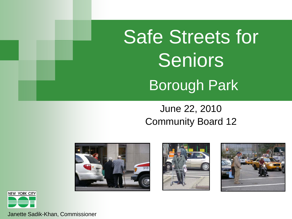# Safe Streets for Seniors Borough Park

#### June 22, 2010 Community Board 12









Janette Sadik-Khan, Commissioner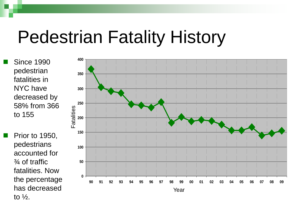## Pedestrian Fatality History

 Since 1990 pedestrian fatalities in NYC have decreased by 58% from 366 to 155

 Prior to 1950, pedestrians accounted for ¾ of traffic fatalities. Now the percentage has decreased to  $\frac{1}{2}$ .

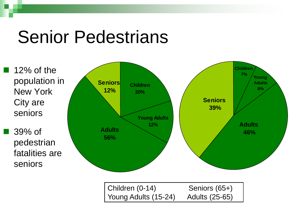## Senior Pedestrians

 12% of the population in New York City are seniors

 39% of pedestrian fatalities are seniors

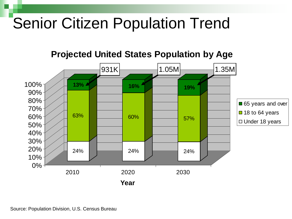### Senior Citizen Population Trend

#### **Projected United States Population by Age**

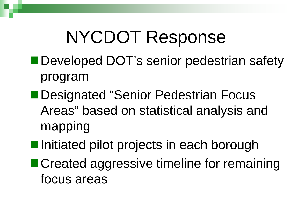## NYCDOT Response

- Developed DOT's senior pedestrian safety program
- Designated "Senior Pedestrian Focus Areas" based on statistical analysis and mapping
- ■Initiated pilot projects in each borough
- Created aggressive timeline for remaining focus areas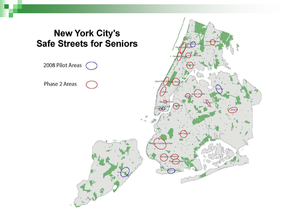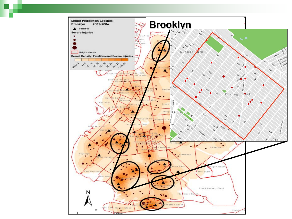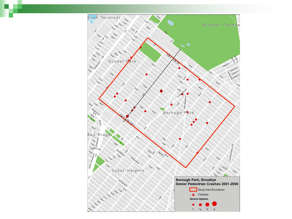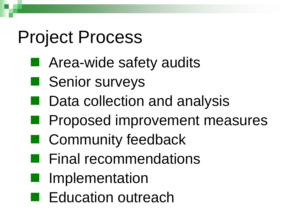## Project Process

- **E** Area-wide safety audits
- **Senior surveys**
- Data collection and analysis
- **Proposed improvement measures**
- Community feedback
- **Final recommendations**
- **I** Implementation
- **Education outreach**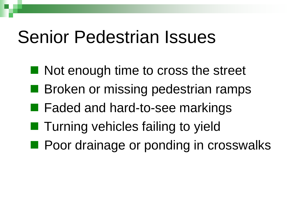## Senior Pedestrian Issues

- Not enough time to cross the street
- **Broken or missing pedestrian ramps**
- Faded and hard-to-see markings
- Turning vehicles failing to yield
- **Poor drainage or ponding in crosswalks**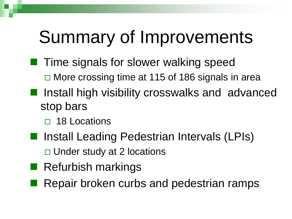## Summary of Improvements

- $\blacksquare$  Time signals for slower walking speed  $\Box$  More crossing time at 115 of 186 signals in area
- Install high visibility crosswalks and advanced stop bars
	- □ 18 Locations
- Install Leading Pedestrian Intervals (LPIs) □ Under study at 2 locations
- **Refurbish markings**
- Repair broken curbs and pedestrian ramps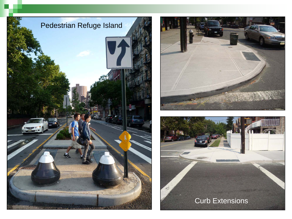



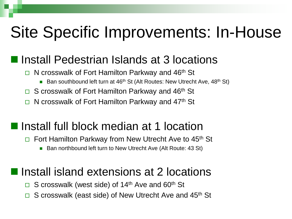### Site Specific Improvements: In-House

### **Install Pedestrian Islands at 3 locations**

- $\Box$  N crosswalk of Fort Hamilton Parkway and 46<sup>th</sup> St
	- **Ban southbound left turn at 46<sup>th</sup> St (Alt Routes: New Utrecht Ave, 48<sup>th</sup> St)**
- $\Box$  S crosswalk of Fort Hamilton Parkway and 46<sup>th</sup> St
- $\Box$  N crosswalk of Fort Hamilton Parkway and 47<sup>th</sup> St

#### ■ Install full block median at 1 location

- $\Box$  Fort Hamilton Parkway from New Utrecht Ave to 45<sup>th</sup> St
	- Ban northbound left turn to New Utrecht Ave (Alt Route: 43 St)

#### **I** Install island extensions at 2 locations

- $\Box$  S crosswalk (west side) of 14<sup>th</sup> Ave and 60<sup>th</sup> St
- $\Box$  S crosswalk (east side) of New Utrecht Ave and 45<sup>th</sup> St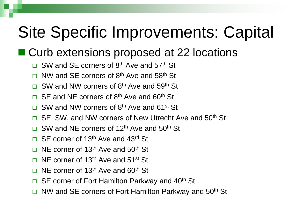## Site Specific Improvements: Capital

### ■ Curb extensions proposed at 22 locations

- $\Box$  SW and SE corners of 8<sup>th</sup> Ave and 57<sup>th</sup> St
- $\Box$  NW and SF corners of 8<sup>th</sup> Ave and 58<sup>th</sup> St
- $\Box$  SW and NW corners of 8<sup>th</sup> Ave and 59<sup>th</sup> St
- $\Box$  SE and NE corners of 8<sup>th</sup> Ave and 60<sup>th</sup> St
- $\Box$  SW and NW corners of 8<sup>th</sup> Ave and 61<sup>st</sup> St
- □ SE, SW, and NW corners of New Utrecht Ave and 50<sup>th</sup> St
- $\Box$  SW and NE corners of 12<sup>th</sup> Ave and 50<sup>th</sup> St
- $\Box$  SE corner of 13<sup>th</sup> Ave and 43<sup>rd</sup> St
- $\Box$  NE corner of 13<sup>th</sup> Ave and 50<sup>th</sup> St
- $\Box$  NE corner of 13<sup>th</sup> Ave and 51<sup>st</sup> St
- $\Box$  NF corner of 13<sup>th</sup> Ave and 60<sup>th</sup> St
- $\Box$  SE corner of Fort Hamilton Parkway and 40<sup>th</sup> St
- $\Box$  NW and SE corners of Fort Hamilton Parkway and 50<sup>th</sup> St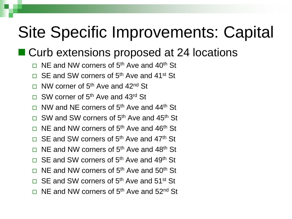### Site Specific Improvements: Capital

#### ■ Curb extensions proposed at 24 locations

- $\Box$  NE and NW corners of 5<sup>th</sup> Ave and 40<sup>th</sup> St
- $\Box$  SE and SW corners of 5<sup>th</sup> Ave and 41<sup>st</sup> St
- $\Box$  NW corner of 5<sup>th</sup> Ave and 42<sup>nd</sup> St
- $\Box$  SW corner of 5<sup>th</sup> Ave and 43<sup>rd</sup> St
- $\Box$  NW and NE corners of 5<sup>th</sup> Ave and 44<sup>th</sup> St
- $\Box$  SW and SW corners of 5<sup>th</sup> Ave and 45<sup>th</sup> St
- $\Box$  NE and NW corners of 5<sup>th</sup> Ave and 46<sup>th</sup> St
- $\Box$  SE and SW corners of 5<sup>th</sup> Ave and 47<sup>th</sup> St
- $\Box$  NE and NW corners of 5<sup>th</sup> Ave and 48<sup>th</sup> St
- $\Box$  SE and SW corners of 5<sup>th</sup> Ave and 49<sup>th</sup> St
- $\Box$  NF and NW corners of 5<sup>th</sup> Ave and 50<sup>th</sup> St
- $\Box$  SE and SW corners of 5<sup>th</sup> Ave and 51<sup>st</sup> St
- $\Box$  NF and NW corners of 5<sup>th</sup> Ave and 52<sup>nd</sup> St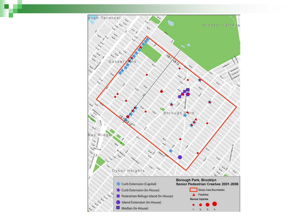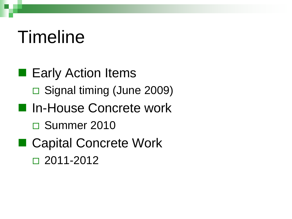## Timeline

■ Early Action Items □ Signal timing (June 2009) ■ In-House Concrete work □ Summer 2010 ■ Capital Concrete Work  $\Box$  2011-2012